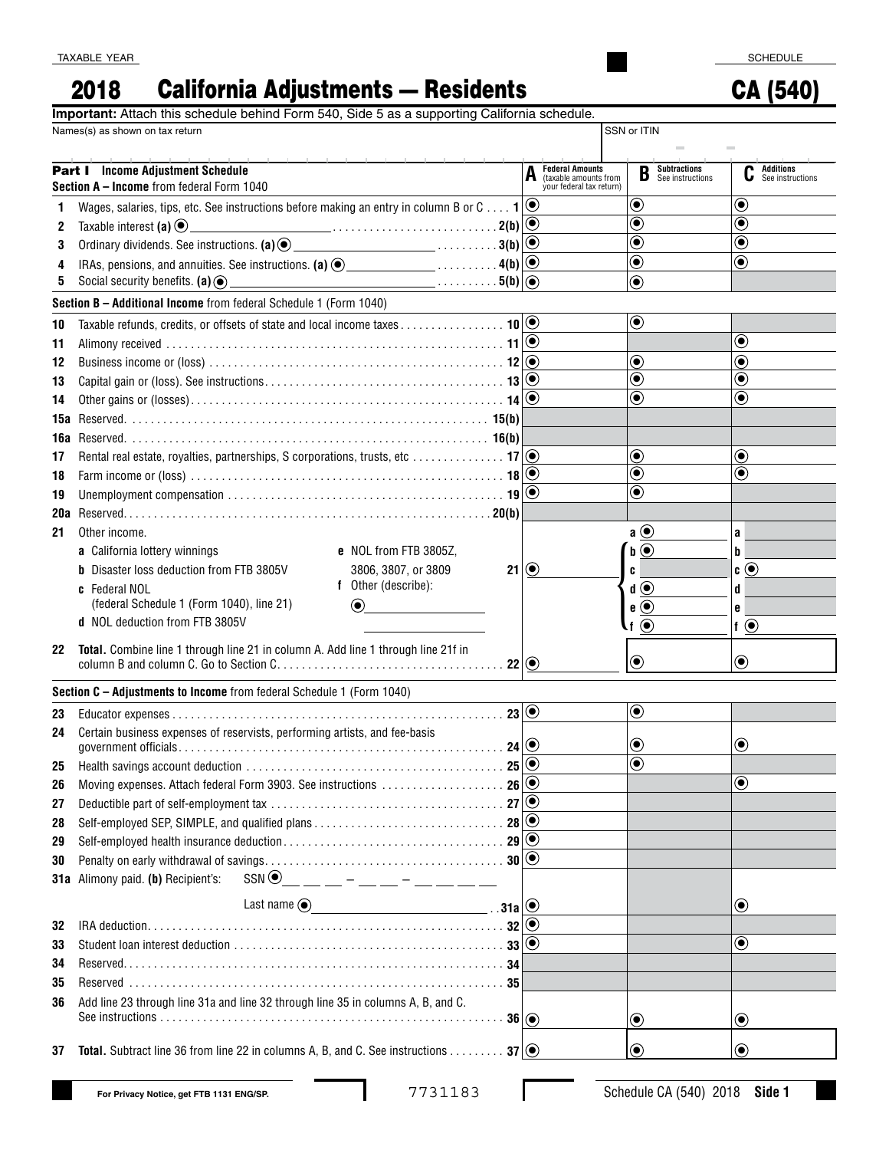## 2018 California Adjustments — Residents

CA (540)

|  |  |  |  |  | Important: Attach this schedule behind Form 540, Side 5 as a supporting California schedule. |  |
|--|--|--|--|--|----------------------------------------------------------------------------------------------|--|
|  |  |  |  |  |                                                                                              |  |

|            | Names(s) as shown on tax return                                                                                                      |                                                                             | SSN or ITIN                                  |                                           |  |
|------------|--------------------------------------------------------------------------------------------------------------------------------------|-----------------------------------------------------------------------------|----------------------------------------------|-------------------------------------------|--|
|            | <b>Part I</b> Income Adjustment Schedule<br>Section A - Income from federal Form 1040                                                | <b>Federal Amounts</b><br>(taxable amounts from<br>your federal tax return) | <b>Subtractions</b><br>See instructions<br>B | <b>Additions</b><br>u<br>See instructions |  |
| 1          | Wages, salaries, tips, etc. See instructions before making an entry in column B or C $\mathbf{1}[\odot]$                             |                                                                             | $\boldsymbol{\odot}$                         | $\boldsymbol{\odot}$                      |  |
| 2          | $\overbrace{\hspace{2.5cm}}^{2(b)}$<br>Taxable interest (a) $\odot$                                                                  |                                                                             | $\overline{\bullet}$                         | $\textcolor{blue}{\bullet}$               |  |
| 3          |                                                                                                                                      |                                                                             | $\overline{\bullet}$                         | $\textcolor{blue}{\bullet}$               |  |
| 4          |                                                                                                                                      |                                                                             | $\overline{\mathbf{\Theta}}$                 | $\bf{O}$                                  |  |
| 5          | Social security benefits. $(a)$ $\odot$                                                                                              |                                                                             | $\odot$                                      |                                           |  |
|            | Section B - Additional Income from federal Schedule 1 (Form 1040)                                                                    |                                                                             |                                              |                                           |  |
| 10         | Taxable refunds, credits, or offsets of state and local income taxes 10 0                                                            |                                                                             | $\boldsymbol{\odot}$                         |                                           |  |
| 11         |                                                                                                                                      |                                                                             |                                              | $\bf \odot$                               |  |
| 12         |                                                                                                                                      |                                                                             | $\bf{(\bullet)}$                             | $\circledbullet$                          |  |
| 13         |                                                                                                                                      |                                                                             | $\overline{\bullet}$                         | $\bf{(\bullet)}$                          |  |
| 14         |                                                                                                                                      |                                                                             | $\overline{\bullet}$                         | $\textcolor{blue}{\bullet}$               |  |
| 15а        |                                                                                                                                      |                                                                             |                                              |                                           |  |
| 16a        |                                                                                                                                      |                                                                             |                                              |                                           |  |
| 17         | Rental real estate, royalties, partnerships, S corporations, trusts, etc  17 $\circ$                                                 |                                                                             | $\bf{(\bullet)}$                             | ◉                                         |  |
| 18         |                                                                                                                                      |                                                                             | $\overline{\bullet}$                         | $\bf{(\bullet)}$                          |  |
| 19         |                                                                                                                                      |                                                                             | $\overline{\bullet}$                         |                                           |  |
| <b>20a</b> |                                                                                                                                      |                                                                             |                                              |                                           |  |
| 21         | Other income.                                                                                                                        |                                                                             | $a$ $\odot$                                  | a                                         |  |
|            | a California lottery winnings<br>e NOL from FTB 3805Z.                                                                               |                                                                             | $\mathbf{b} \odot$                           | b                                         |  |
|            | <b>b</b> Disaster loss deduction from FTB 3805V<br>3806, 3807, or 3809                                                               | 21 ③                                                                        | C                                            | $\mathbf{c} \odot$                        |  |
|            | f Other (describe):<br>c Federal NOL                                                                                                 |                                                                             | $\mathbf{d}(\bullet)$                        | d                                         |  |
|            | (federal Schedule 1 (Form 1040), line 21)<br>$\odot$                                                                                 |                                                                             | $e$ $\odot$                                  | e                                         |  |
|            | d NOL deduction from FTB 3805V                                                                                                       |                                                                             | $\cdot$ f $\odot$                            | $\mathbf{f}$ $\odot$                      |  |
| 22         | Total. Combine line 1 through line 21 in column A. Add line 1 through line 21f in<br>22                                              |                                                                             | $\boldsymbol{\odot}$                         | $\boldsymbol{\odot}$                      |  |
|            | Section C - Adjustments to Income from federal Schedule 1 (Form 1040)                                                                |                                                                             |                                              |                                           |  |
| 23         |                                                                                                                                      |                                                                             | $\textcolor{blue}{\bullet}$                  |                                           |  |
| 24         | Certain business expenses of reservists, performing artists, and fee-basis                                                           |                                                                             |                                              |                                           |  |
|            | $24$ $\odot$                                                                                                                         |                                                                             | $\bf \odot$                                  | $\boldsymbol{\odot}$                      |  |
| 25         | 25                                                                                                                                   | $\bf \odot$                                                                 | $\overline{\bullet}$                         |                                           |  |
| 26         |                                                                                                                                      |                                                                             |                                              | ◉                                         |  |
| 27         |                                                                                                                                      |                                                                             |                                              |                                           |  |
| 28         |                                                                                                                                      |                                                                             |                                              |                                           |  |
| 29         |                                                                                                                                      |                                                                             |                                              |                                           |  |
| 30         |                                                                                                                                      |                                                                             |                                              |                                           |  |
|            | $SSN$ $\odot$ $\qquad$ $\cdots$ $\cdots$ $\cdots$ $\cdots$ $\cdots$ $\cdots$ $\cdots$ $\cdots$<br>31a Alimony paid. (b) Recipient's: |                                                                             |                                              |                                           |  |
|            |                                                                                                                                      |                                                                             |                                              | $\boldsymbol{\odot}$                      |  |
| 32         |                                                                                                                                      | $\textcircled{\small\bullet}$                                               |                                              |                                           |  |
| 33         |                                                                                                                                      |                                                                             |                                              | $\textcolor{blue}{\bullet}$               |  |
| 34         |                                                                                                                                      |                                                                             |                                              |                                           |  |
| 35         |                                                                                                                                      |                                                                             |                                              |                                           |  |
| 36         | Add line 23 through line 31a and line 32 through line 35 in columns A, B, and C.                                                     |                                                                             |                                              |                                           |  |
|            | 36()                                                                                                                                 |                                                                             | $\textcircled{\textcolor{white}{\bullet}}$   | $\left( \bullet \right)$                  |  |
|            |                                                                                                                                      |                                                                             |                                              |                                           |  |
| 37         | <b>Total.</b> Subtract line 36 from line 22 in columns A, B, and C. See instructions 37 $\circledcirc$                               |                                                                             | $\circledbullet$                             | $(\bullet)$                               |  |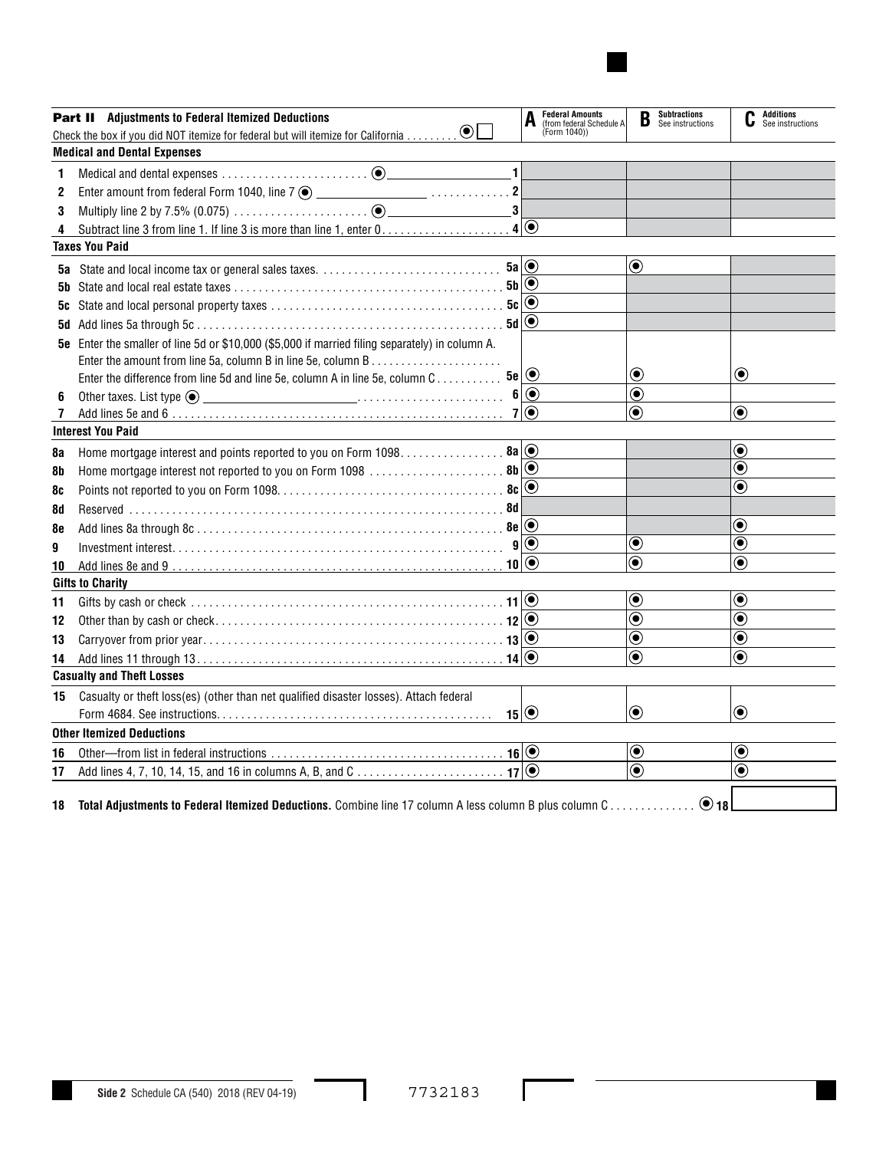|    | <b>Part II</b> Adjustments to Federal Itemized Deductions                                                              |                          | Federal Amounts<br>(from federal Schedule A<br>(Form 1040)) | B                             | <b>Subtractions</b><br>See instructions |                              | <b>Additions</b><br>See instructions |  |
|----|------------------------------------------------------------------------------------------------------------------------|--------------------------|-------------------------------------------------------------|-------------------------------|-----------------------------------------|------------------------------|--------------------------------------|--|
|    | Check the box if you did NOT itemize for federal but will itemize for California $\odot$                               |                          |                                                             |                               |                                         |                              |                                      |  |
|    | <b>Medical and Dental Expenses</b>                                                                                     |                          |                                                             |                               |                                         |                              |                                      |  |
| 1. | $\blacksquare$                                                                                                         |                          |                                                             |                               |                                         |                              |                                      |  |
| 2  |                                                                                                                        |                          |                                                             |                               |                                         |                              |                                      |  |
| 3  |                                                                                                                        |                          |                                                             |                               |                                         |                              |                                      |  |
| 4  |                                                                                                                        |                          |                                                             |                               |                                         |                              |                                      |  |
|    | <b>Taxes You Paid</b>                                                                                                  |                          |                                                             |                               |                                         |                              |                                      |  |
|    | <b>5a</b> State and local income tax or general sales taxes. $\ldots \ldots \ldots \ldots \ldots \ldots \ldots \ldots$ |                          |                                                             | $\odot$                       |                                         |                              |                                      |  |
|    |                                                                                                                        |                          |                                                             |                               |                                         |                              |                                      |  |
| 5c |                                                                                                                        |                          |                                                             |                               |                                         |                              |                                      |  |
| 5d |                                                                                                                        |                          |                                                             |                               |                                         |                              |                                      |  |
|    | 5e Enter the smaller of line 5d or \$10,000 (\$5,000 if married filing separately) in column A.                        |                          |                                                             |                               |                                         |                              |                                      |  |
|    |                                                                                                                        |                          |                                                             |                               |                                         |                              |                                      |  |
|    | $5e$ $\odot$<br>Enter the difference from line 5d and line 5e, column A in line 5e, column C                           |                          |                                                             | $\bf \odot$                   |                                         | $\bf \odot$                  |                                      |  |
| 6  |                                                                                                                        |                          |                                                             | $\textcolor{blue}{\bullet}$   |                                         |                              |                                      |  |
| 7  |                                                                                                                        |                          |                                                             | $\odot$                       |                                         | $\odot$                      |                                      |  |
|    | <b>Interest You Paid</b>                                                                                               |                          |                                                             |                               |                                         |                              |                                      |  |
| 8a | Home mortgage interest and points reported to you on Form 1098. 8a   .                                                 |                          |                                                             |                               |                                         | $\odot$                      |                                      |  |
| 8b |                                                                                                                        |                          |                                                             |                               |                                         | $\bf{(\bullet)}$             |                                      |  |
| 8c |                                                                                                                        | $\left( \bullet \right)$ |                                                             |                               |                                         | $\overline{\bullet}$         |                                      |  |
| 8d |                                                                                                                        |                          |                                                             |                               |                                         |                              |                                      |  |
| 8e |                                                                                                                        |                          |                                                             |                               |                                         | $\bf{(\bullet)}$             |                                      |  |
| 9  |                                                                                                                        |                          |                                                             | $\bf \odot$                   |                                         | $\textcolor{blue}{\bullet}$  |                                      |  |
| 10 |                                                                                                                        |                          |                                                             | $\textcircled{\small\bullet}$ |                                         | $\odot$                      |                                      |  |
|    | <b>Gifts to Charity</b>                                                                                                |                          |                                                             |                               |                                         |                              |                                      |  |
| 11 |                                                                                                                        |                          |                                                             | $\bigcirc$                    |                                         | $\textcolor{blue}{\bullet}$  |                                      |  |
| 12 |                                                                                                                        |                          |                                                             | $\overline{\circ}$            |                                         | $\widehat{\bullet}$          |                                      |  |
| 13 |                                                                                                                        |                          |                                                             | $\overline{\bullet}$          |                                         | $\overline{\mathbf{\Theta}}$ |                                      |  |
| 14 |                                                                                                                        |                          |                                                             | $\overline{\mathbf{O}}$       |                                         | $\circledbullet$             |                                      |  |
|    | <b>Casualty and Theft Losses</b>                                                                                       |                          |                                                             |                               |                                         |                              |                                      |  |
| 15 | Casualty or theft loss(es) (other than net qualified disaster losses). Attach federal                                  |                          |                                                             |                               |                                         |                              |                                      |  |
|    |                                                                                                                        | $15$ $\odot$             |                                                             | $\bf \odot$                   |                                         | $\bf \odot$                  |                                      |  |
|    | <b>Other Itemized Deductions</b>                                                                                       |                          |                                                             |                               |                                         |                              |                                      |  |
| 16 |                                                                                                                        |                          |                                                             | $\boldsymbol{\copyright}$     |                                         | $\boldsymbol{\copyright}$    |                                      |  |
| 17 |                                                                                                                        | $  \odot$                |                                                             | $\overline{\bullet}$          |                                         | $\bf{(\bullet)}$             |                                      |  |
|    |                                                                                                                        |                          |                                                             |                               |                                         |                              |                                      |  |
| 18 | Total Adjustments to Federal Itemized Deductions. Combine line 17 column A less column B plus column C                 |                          |                                                             |                               | $\odot$ 18                              |                              |                                      |  |

I